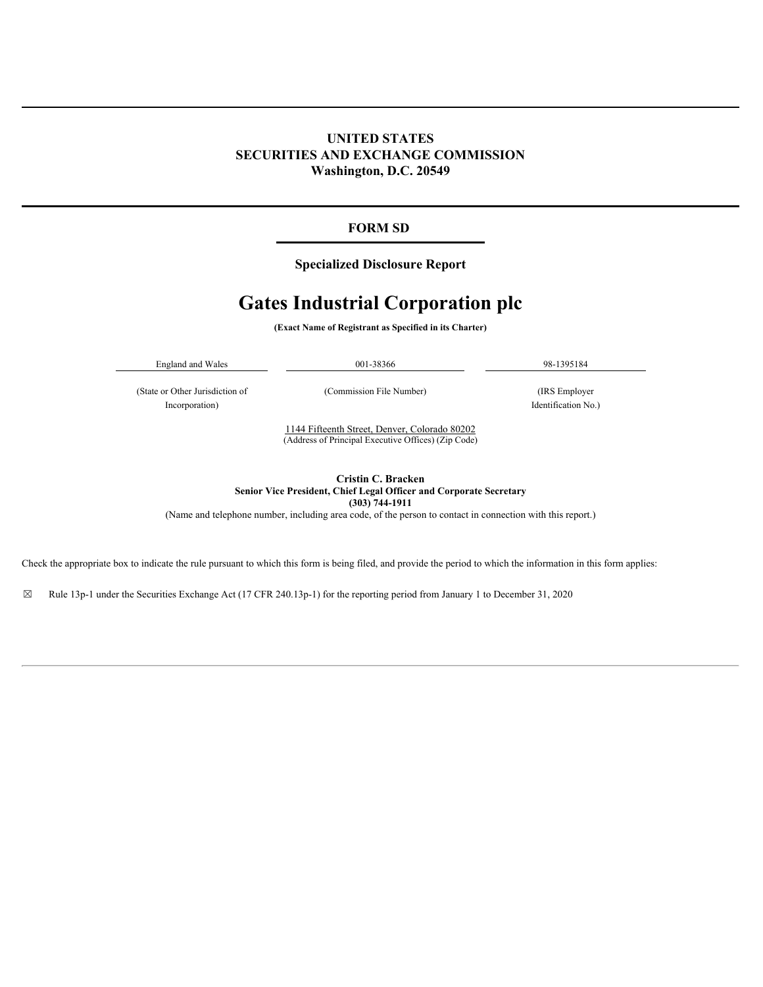# **UNITED STATES SECURITIES AND EXCHANGE COMMISSION Washington, D.C. 20549**

# **FORM SD**

# **Specialized Disclosure Report**

# **Gates Industrial Corporation plc**

**(Exact Name of Registrant as Specified in its Charter)**

| $\sim$<br>England and<br>Wales | 001-38366 | -98<br>.13951 |
|--------------------------------|-----------|---------------|
|                                |           |               |

(State or Other Jurisdiction of (Commission File Number) (IRS Employer Incorporation) Identification No.)

1144 Fifteenth Street, Denver, Colorado 80202 (Address of Principal Executive Offices) (Zip Code)

**Cristin C. Bracken Senior Vice President, Chief Legal Officer and Corporate Secretary (303) 744-1911** (Name and telephone number, including area code, of the person to contact in connection with this report.)

Check the appropriate box to indicate the rule pursuant to which this form is being filed, and provide the period to which the information in this form applies:

☒ Rule 13p-1 under the Securities Exchange Act (17 CFR 240.13p-1) for the reporting period from January 1 to December 31, 2020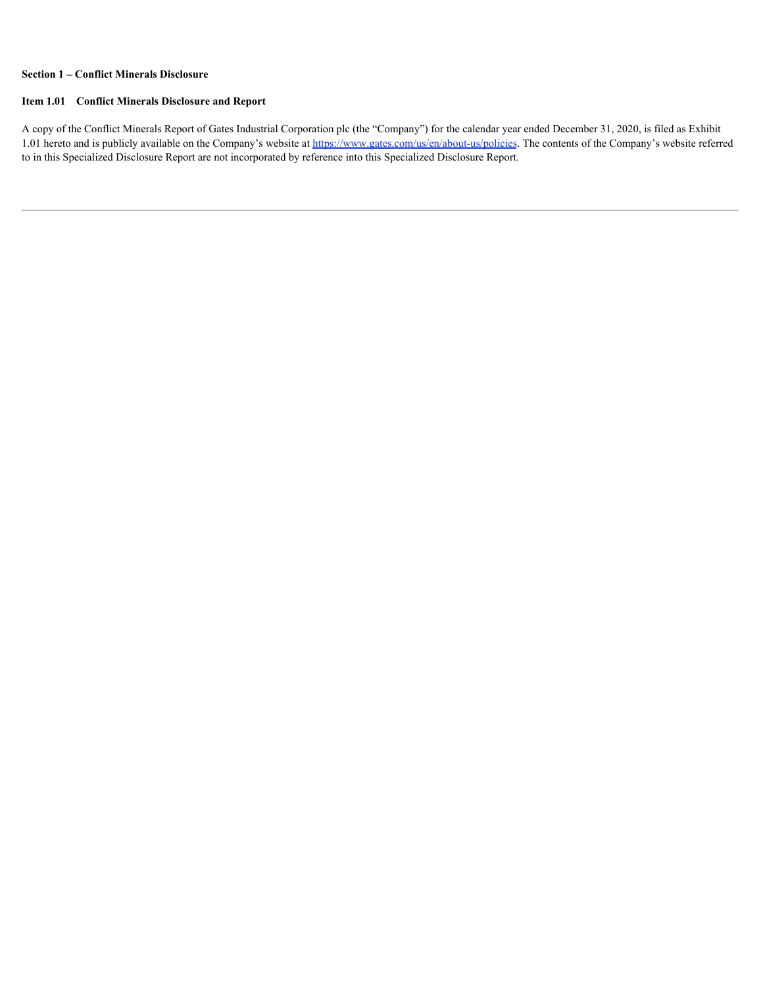## **Section 1 – Conflict Minerals Disclosure**

#### **Item 1.01 Conflict Minerals Disclosure and Report**

A copy of the Conflict Minerals Report of Gates Industrial Corporation plc (the "Company") for the calendar year ended December 31, 2020, is filed as Exhibit 1.01 hereto and is publicly available on the Company's website at https://www.gates.com/us/en/about-us/policies. The contents of the Company's website referred to in this Specialized Disclosure Report are not incorporated by reference into this Specialized Disclosure Report.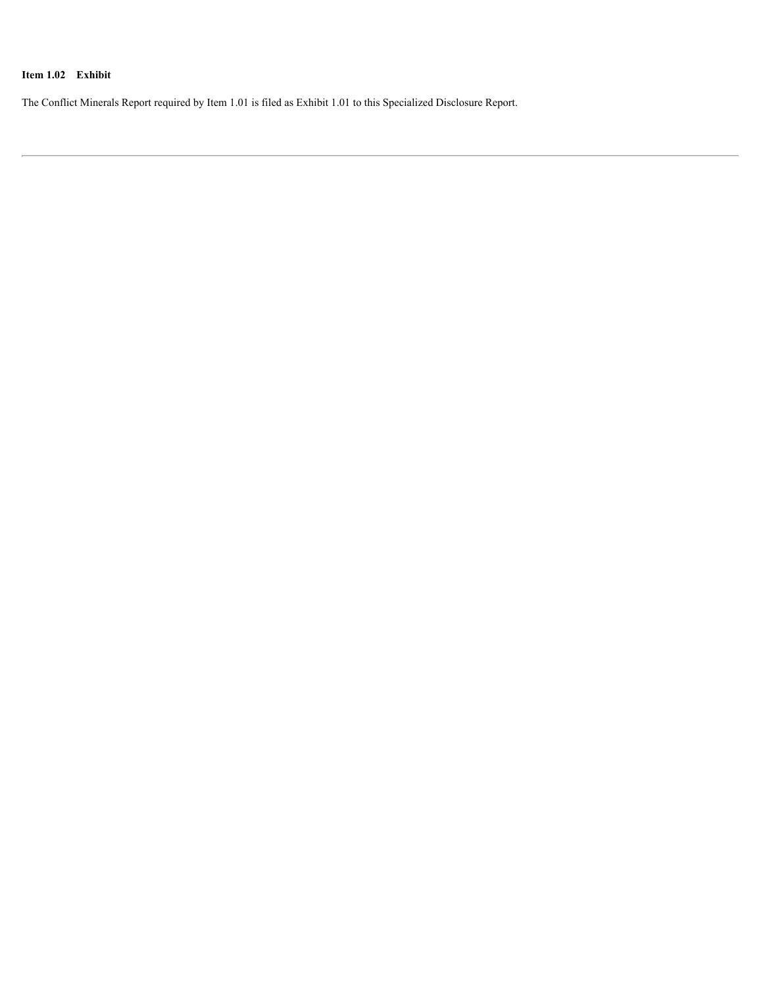# **Item 1.02 Exhibit**

The Conflict Minerals Report required by Item 1.01 is filed as Exhibit 1.01 to this Specialized Disclosure Report.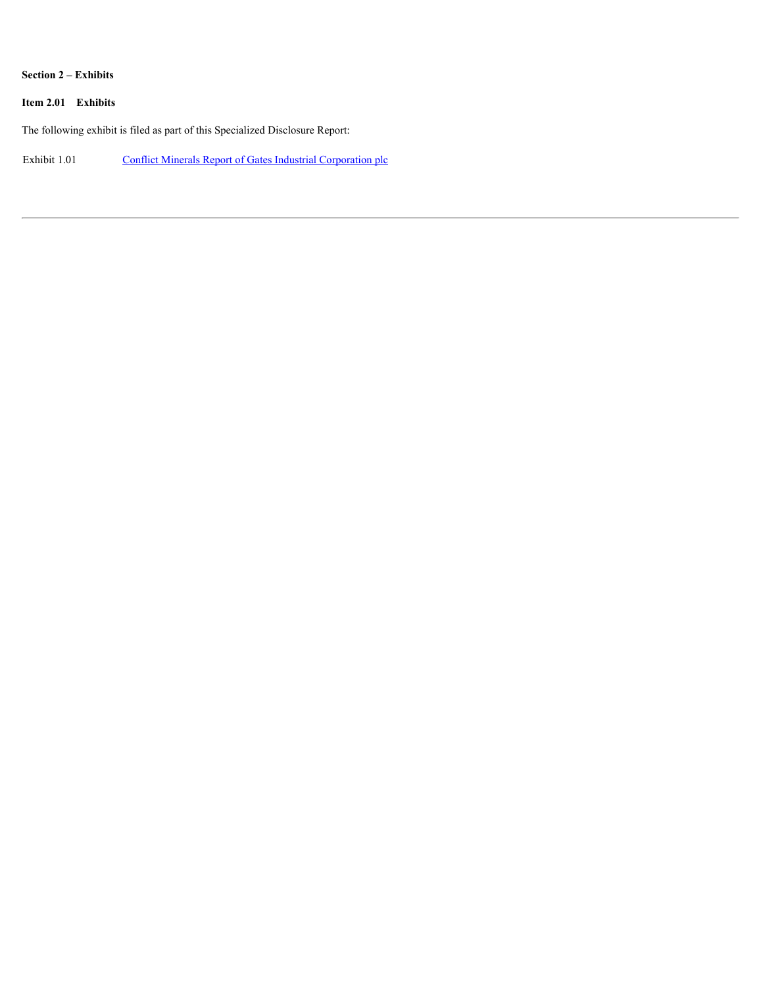## **Section 2 – Exhibits**

# **Item 2.01 Exhibits**

The following exhibit is filed as part of this Specialized Disclosure Report:

Exhibit 1.01 [Conflict Minerals Report of Gates Industrial Corporation plc](#page-5-0)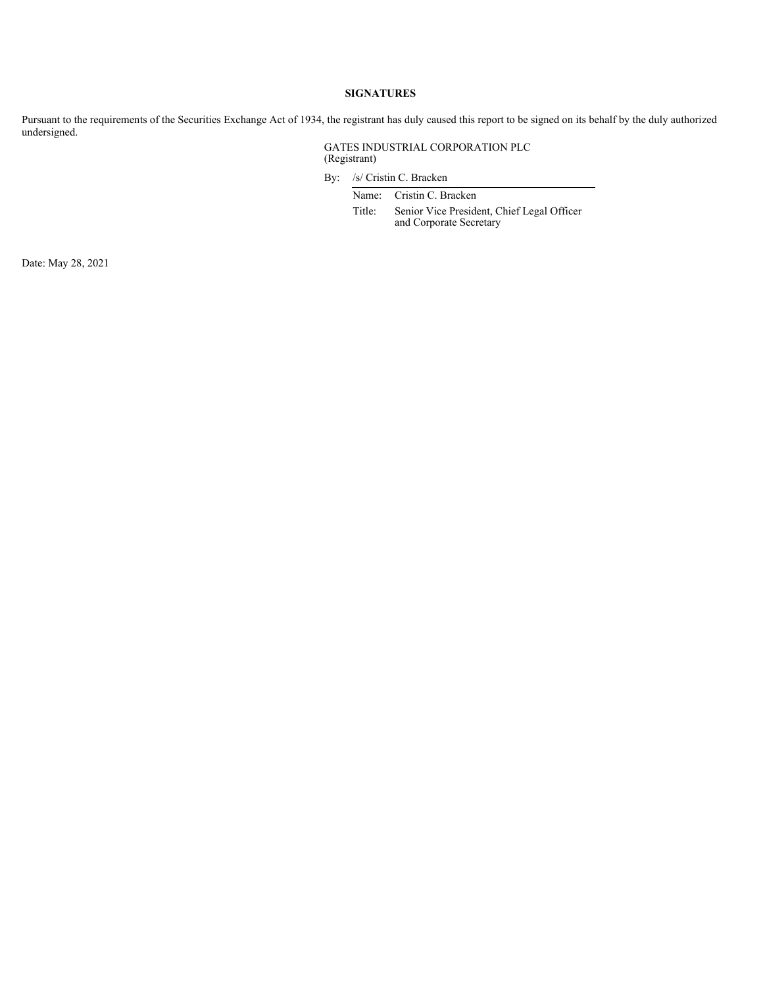#### **SIGNATURES**

Pursuant to the requirements of the Securities Exchange Act of 1934, the registrant has duly caused this report to be signed on its behalf by the duly authorized undersigned.

#### GATES INDUSTRIAL CORPORATION PLC (Registrant)

By: /s/ Cristin C. Bracken

Name: Cristin C. Bracken

Title: Senior Vice President, Chief Legal Officer and Corporate Secretary

Date: May 28, 2021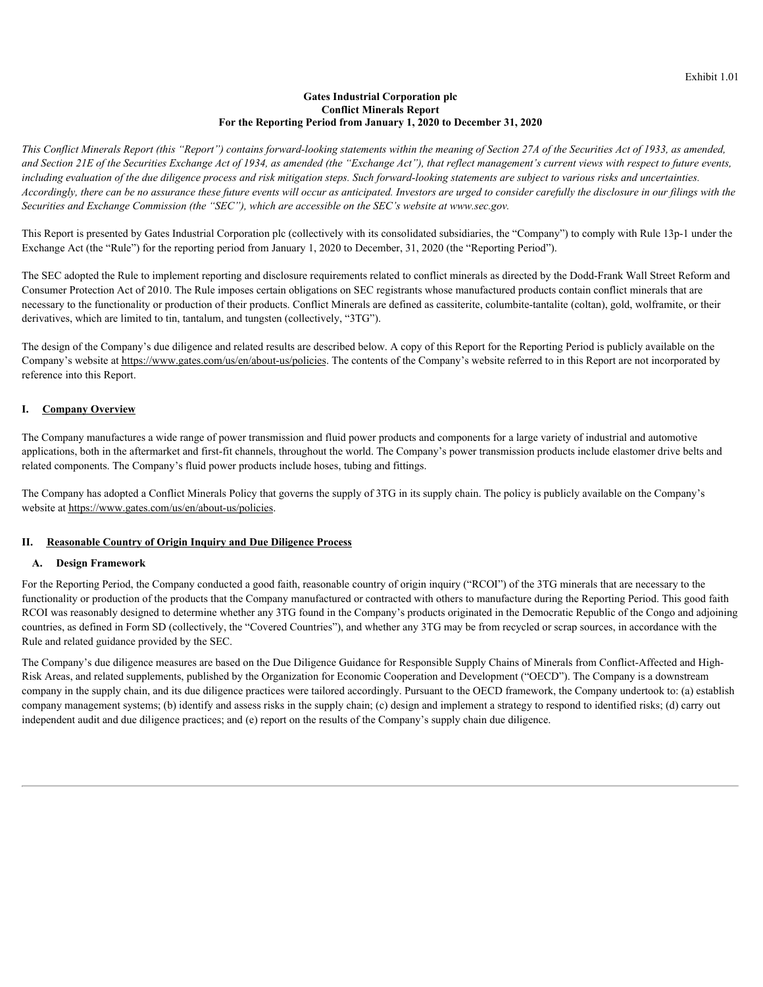#### **Gates Industrial Corporation plc Conflict Minerals Report For the Reporting Period from January 1, 2020 to December 31, 2020**

<span id="page-5-0"></span>*This Conflict Minerals Report (this "Report") contains forward-looking statements within the meaning of Section 27A of the Securities Act of 1933, as amended, and Section 21E of the Securities Exchange Act of 1934, as amended (the "Exchange Act"), that reflect management's current views with respect to future events, including evaluation of the due diligence process and risk mitigation steps. Such forward-looking statements are subject to various risks and uncertainties. Accordingly, there can be no assurance these future events will occur as anticipated. Investors are urged to consider carefully the disclosure in our filings with the Securities and Exchange Commission (the "SEC"), which are accessible on the SEC's website at www.sec.gov.*

This Report is presented by Gates Industrial Corporation plc (collectively with its consolidated subsidiaries, the "Company") to comply with Rule 13p-1 under the Exchange Act (the "Rule") for the reporting period from January 1, 2020 to December, 31, 2020 (the "Reporting Period").

The SEC adopted the Rule to implement reporting and disclosure requirements related to conflict minerals as directed by the Dodd-Frank Wall Street Reform and Consumer Protection Act of 2010. The Rule imposes certain obligations on SEC registrants whose manufactured products contain conflict minerals that are necessary to the functionality or production of their products. Conflict Minerals are defined as cassiterite, columbite-tantalite (coltan), gold, wolframite, or their derivatives, which are limited to tin, tantalum, and tungsten (collectively, "3TG").

The design of the Company's due diligence and related results are described below. A copy of this Report for the Reporting Period is publicly available on the Company's website at https://www.gates.com/us/en/about-us/policies. The contents of the Company's website referred to in this Report are not incorporated by reference into this Report.

## **I. Company Overview**

The Company manufactures a wide range of power transmission and fluid power products and components for a large variety of industrial and automotive applications, both in the aftermarket and first-fit channels, throughout the world. The Company's power transmission products include elastomer drive belts and related components. The Company's fluid power products include hoses, tubing and fittings.

The Company has adopted a Conflict Minerals Policy that governs the supply of 3TG in its supply chain. The policy is publicly available on the Company's website at https://www.gates.com/us/en/about-us/policies.

#### **II. Reasonable Country of Origin Inquiry and Due Diligence Process**

#### **A. Design Framework**

For the Reporting Period, the Company conducted a good faith, reasonable country of origin inquiry ("RCOI") of the 3TG minerals that are necessary to the functionality or production of the products that the Company manufactured or contracted with others to manufacture during the Reporting Period. This good faith RCOI was reasonably designed to determine whether any 3TG found in the Company's products originated in the Democratic Republic of the Congo and adjoining countries, as defined in Form SD (collectively, the "Covered Countries"), and whether any 3TG may be from recycled or scrap sources, in accordance with the Rule and related guidance provided by the SEC.

The Company's due diligence measures are based on the Due Diligence Guidance for Responsible Supply Chains of Minerals from Conflict-Affected and High-Risk Areas, and related supplements, published by the Organization for Economic Cooperation and Development ("OECD"). The Company is a downstream company in the supply chain, and its due diligence practices were tailored accordingly. Pursuant to the OECD framework, the Company undertook to: (a) establish company management systems; (b) identify and assess risks in the supply chain; (c) design and implement a strategy to respond to identified risks; (d) carry out independent audit and due diligence practices; and (e) report on the results of the Company's supply chain due diligence.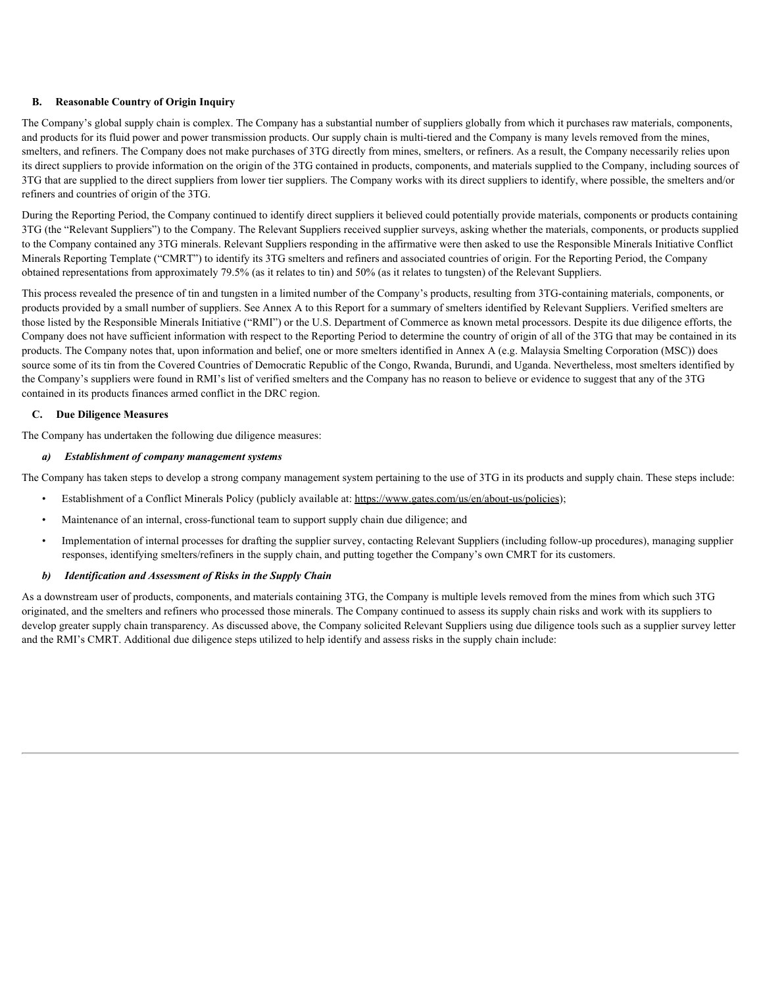## **B. Reasonable Country of Origin Inquiry**

The Company's global supply chain is complex. The Company has a substantial number of suppliers globally from which it purchases raw materials, components, and products for its fluid power and power transmission products. Our supply chain is multi-tiered and the Company is many levels removed from the mines, smelters, and refiners. The Company does not make purchases of 3TG directly from mines, smelters, or refiners. As a result, the Company necessarily relies upon its direct suppliers to provide information on the origin of the 3TG contained in products, components, and materials supplied to the Company, including sources of 3TG that are supplied to the direct suppliers from lower tier suppliers. The Company works with its direct suppliers to identify, where possible, the smelters and/or refiners and countries of origin of the 3TG.

During the Reporting Period, the Company continued to identify direct suppliers it believed could potentially provide materials, components or products containing 3TG (the "Relevant Suppliers") to the Company. The Relevant Suppliers received supplier surveys, asking whether the materials, components, or products supplied to the Company contained any 3TG minerals. Relevant Suppliers responding in the affirmative were then asked to use the Responsible Minerals Initiative Conflict Minerals Reporting Template ("CMRT") to identify its 3TG smelters and refiners and associated countries of origin. For the Reporting Period, the Company obtained representations from approximately 79.5% (as it relates to tin) and 50% (as it relates to tungsten) of the Relevant Suppliers.

This process revealed the presence of tin and tungsten in a limited number of the Company's products, resulting from 3TG-containing materials, components, or products provided by a small number of suppliers. See Annex A to this Report for a summary of smelters identified by Relevant Suppliers. Verified smelters are those listed by the Responsible Minerals Initiative ("RMI") or the U.S. Department of Commerce as known metal processors. Despite its due diligence efforts, the Company does not have sufficient information with respect to the Reporting Period to determine the country of origin of all of the 3TG that may be contained in its products. The Company notes that, upon information and belief, one or more smelters identified in Annex A (e.g. Malaysia Smelting Corporation (MSC)) does source some of its tin from the Covered Countries of Democratic Republic of the Congo, Rwanda, Burundi, and Uganda. Nevertheless, most smelters identified by the Company's suppliers were found in RMI's list of verified smelters and the Company has no reason to believe or evidence to suggest that any of the 3TG contained in its products finances armed conflict in the DRC region.

## **C. Due Diligence Measures**

The Company has undertaken the following due diligence measures:

## *a) Establishment of company management systems*

The Company has taken steps to develop a strong company management system pertaining to the use of 3TG in its products and supply chain. These steps include:

- Establishment of a Conflict Minerals Policy (publicly available at: https://www.gates.com/us/en/about-us/policies);
- Maintenance of an internal, cross-functional team to support supply chain due diligence; and
- Implementation of internal processes for drafting the supplier survey, contacting Relevant Suppliers (including follow-up procedures), managing supplier responses, identifying smelters/refiners in the supply chain, and putting together the Company's own CMRT for its customers.

# *b) Identification and Assessment of Risks in the Supply Chain*

As a downstream user of products, components, and materials containing 3TG, the Company is multiple levels removed from the mines from which such 3TG originated, and the smelters and refiners who processed those minerals. The Company continued to assess its supply chain risks and work with its suppliers to develop greater supply chain transparency. As discussed above, the Company solicited Relevant Suppliers using due diligence tools such as a supplier survey letter and the RMI's CMRT. Additional due diligence steps utilized to help identify and assess risks in the supply chain include: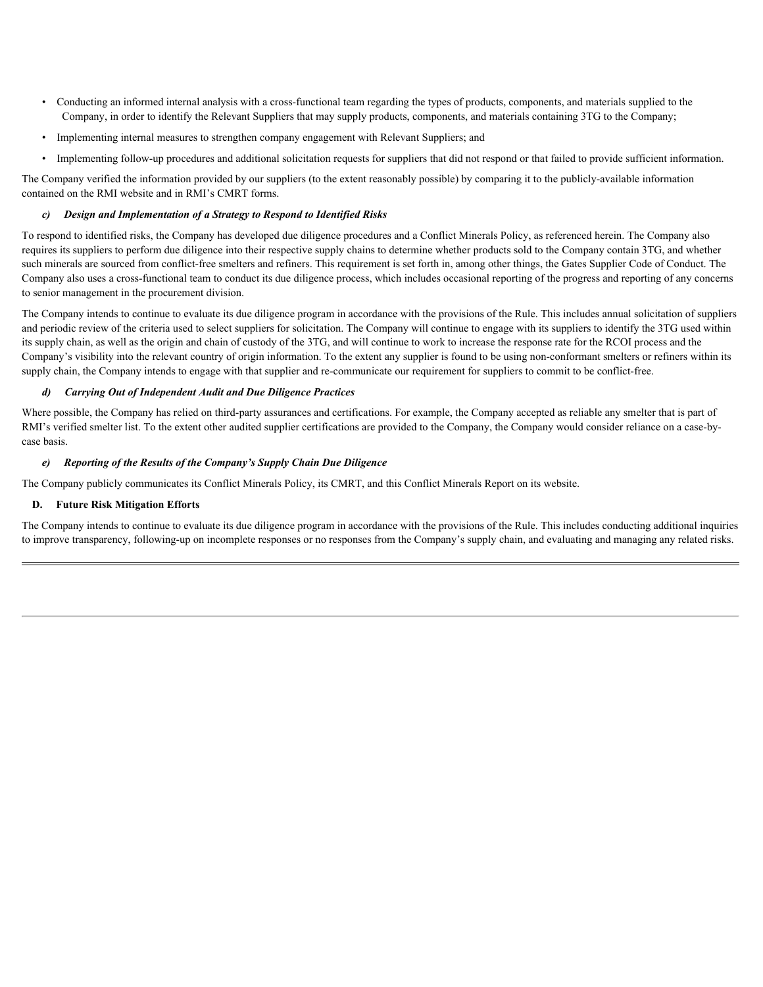- Conducting an informed internal analysis with a cross-functional team regarding the types of products, components, and materials supplied to the Company, in order to identify the Relevant Suppliers that may supply products, components, and materials containing 3TG to the Company;
- Implementing internal measures to strengthen company engagement with Relevant Suppliers; and
- Implementing follow-up procedures and additional solicitation requests for suppliers that did not respond or that failed to provide sufficient information.

The Company verified the information provided by our suppliers (to the extent reasonably possible) by comparing it to the publicly-available information contained on the RMI website and in RMI's CMRT forms.

#### *c) Design and Implementation of a Strategy to Respond to Identified Risks*

To respond to identified risks, the Company has developed due diligence procedures and a Conflict Minerals Policy, as referenced herein. The Company also requires its suppliers to perform due diligence into their respective supply chains to determine whether products sold to the Company contain 3TG, and whether such minerals are sourced from conflict-free smelters and refiners. This requirement is set forth in, among other things, the Gates Supplier Code of Conduct. The Company also uses a cross-functional team to conduct its due diligence process, which includes occasional reporting of the progress and reporting of any concerns to senior management in the procurement division.

The Company intends to continue to evaluate its due diligence program in accordance with the provisions of the Rule. This includes annual solicitation of suppliers and periodic review of the criteria used to select suppliers for solicitation. The Company will continue to engage with its suppliers to identify the 3TG used within its supply chain, as well as the origin and chain of custody of the 3TG, and will continue to work to increase the response rate for the RCOI process and the Company's visibility into the relevant country of origin information. To the extent any supplier is found to be using non-conformant smelters or refiners within its supply chain, the Company intends to engage with that supplier and re-communicate our requirement for suppliers to commit to be conflict-free.

#### *d) Carrying Out of Independent Audit and Due Diligence Practices*

Where possible, the Company has relied on third-party assurances and certifications. For example, the Company accepted as reliable any smelter that is part of RMI's verified smelter list. To the extent other audited supplier certifications are provided to the Company, the Company would consider reliance on a case-bycase basis.

#### *e) Reporting of the Results of the Company's Supply Chain Due Diligence*

The Company publicly communicates its Conflict Minerals Policy, its CMRT, and this Conflict Minerals Report on its website.

## **D. Future Risk Mitigation Efforts**

The Company intends to continue to evaluate its due diligence program in accordance with the provisions of the Rule. This includes conducting additional inquiries to improve transparency, following-up on incomplete responses or no responses from the Company's supply chain, and evaluating and managing any related risks.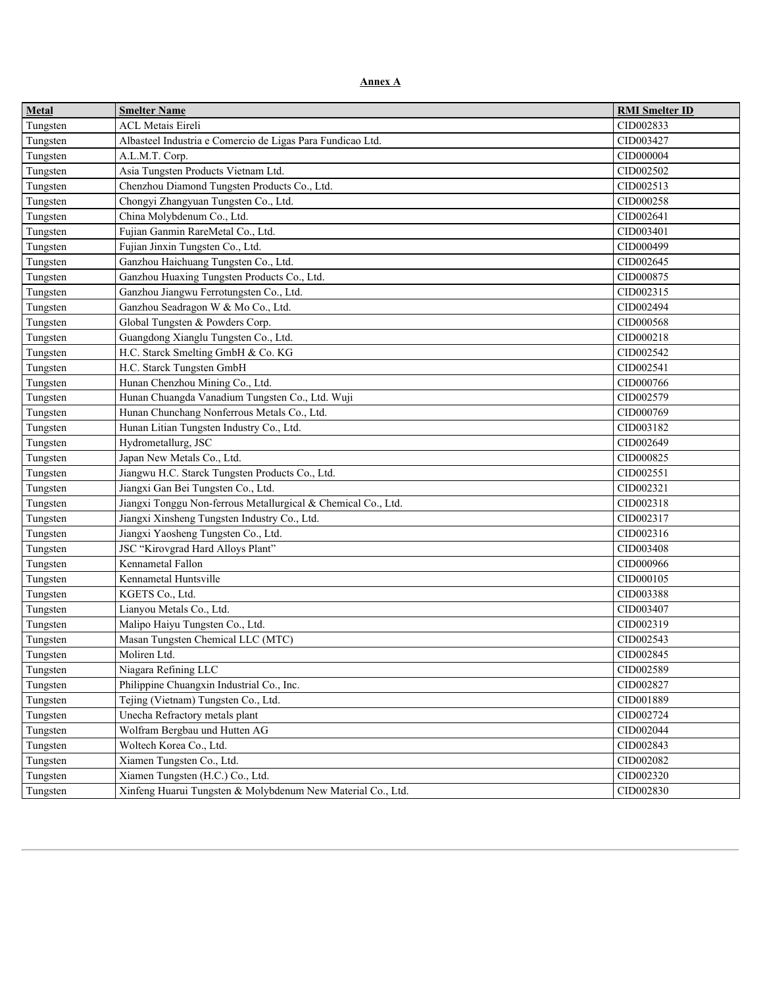**Annex A**

| <b>Metal</b> | <b>Smelter Name</b>                                           | <b>RMI</b> Smelter ID |
|--------------|---------------------------------------------------------------|-----------------------|
| Tungsten     | <b>ACL Metais Eireli</b>                                      | CID002833             |
| Tungsten     | Albasteel Industria e Comercio de Ligas Para Fundicao Ltd.    | CID003427             |
| Tungsten     | A.L.M.T. Corp.                                                | CID000004             |
| Tungsten     | Asia Tungsten Products Vietnam Ltd.                           | CID002502             |
| Tungsten     | Chenzhou Diamond Tungsten Products Co., Ltd.                  | CID002513             |
| Tungsten     | Chongyi Zhangyuan Tungsten Co., Ltd.                          | CID000258             |
| Tungsten     | China Molybdenum Co., Ltd.                                    | CID002641             |
| Tungsten     | Fujian Ganmin RareMetal Co., Ltd.                             | CID003401             |
| Tungsten     | Fujian Jinxin Tungsten Co., Ltd.                              | CID000499             |
| Tungsten     | Ganzhou Haichuang Tungsten Co., Ltd.                          | CID002645             |
| Tungsten     | Ganzhou Huaxing Tungsten Products Co., Ltd.                   | CID000875             |
| Tungsten     | Ganzhou Jiangwu Ferrotungsten Co., Ltd.                       | CID002315             |
| Tungsten     | Ganzhou Seadragon W & Mo Co., Ltd.                            | CID002494             |
| Tungsten     | Global Tungsten & Powders Corp.                               | CID000568             |
| Tungsten     | Guangdong Xianglu Tungsten Co., Ltd.                          | CID000218             |
| Tungsten     | H.C. Starck Smelting GmbH & Co. KG                            | CID002542             |
| Tungsten     | H.C. Starck Tungsten GmbH                                     | CID002541             |
| Tungsten     | Hunan Chenzhou Mining Co., Ltd.                               | CID000766             |
| Tungsten     | Hunan Chuangda Vanadium Tungsten Co., Ltd. Wuji               | CID002579             |
| Tungsten     | Hunan Chunchang Nonferrous Metals Co., Ltd.                   | CID000769             |
| Tungsten     | Hunan Litian Tungsten Industry Co., Ltd.                      | CID003182             |
| Tungsten     | Hydrometallurg, JSC                                           | CID002649             |
| Tungsten     | Japan New Metals Co., Ltd.                                    | CID000825             |
| Tungsten     | Jiangwu H.C. Starck Tungsten Products Co., Ltd.               | CID002551             |
| Tungsten     | Jiangxi Gan Bei Tungsten Co., Ltd.                            | CID002321             |
| Tungsten     | Jiangxi Tonggu Non-ferrous Metallurgical & Chemical Co., Ltd. | CID002318             |
| Tungsten     | Jiangxi Xinsheng Tungsten Industry Co., Ltd.                  | CID002317             |
| Tungsten     | Jiangxi Yaosheng Tungsten Co., Ltd.                           | CID002316             |
| Tungsten     | JSC "Kirovgrad Hard Alloys Plant"                             | CID003408             |
| Tungsten     | Kennametal Fallon                                             | CID000966             |
| Tungsten     | Kennametal Huntsville                                         | CID000105             |
| Tungsten     | KGETS Co., Ltd.                                               | CID003388             |
|              | Lianyou Metals Co., Ltd.                                      | CID003407             |
| Tungsten     | Malipo Haiyu Tungsten Co., Ltd.                               | CID002319             |
| Tungsten     |                                                               |                       |
| Tungsten     | Masan Tungsten Chemical LLC (MTC)                             | CID002543             |
| Tungsten     | Moliren Ltd.                                                  | CID002845             |
| Tungsten     | Niagara Refining LLC                                          | CID002589             |
| Tungsten     | Philippine Chuangxin Industrial Co., Inc.                     | CID002827             |
| Tungsten     | Tejing (Vietnam) Tungsten Co., Ltd.                           | CID001889             |
| Tungsten     | Unecha Refractory metals plant                                | CID002724             |
| Tungsten     | Wolfram Bergbau und Hutten AG                                 | CID002044             |
| Tungsten     | Woltech Korea Co., Ltd.                                       | CID002843             |
| Tungsten     | Xiamen Tungsten Co., Ltd.                                     | CID002082             |
| Tungsten     | Xiamen Tungsten (H.C.) Co., Ltd.                              | CID002320             |
| Tungsten     | Xinfeng Huarui Tungsten & Molybdenum New Material Co., Ltd.   | CID002830             |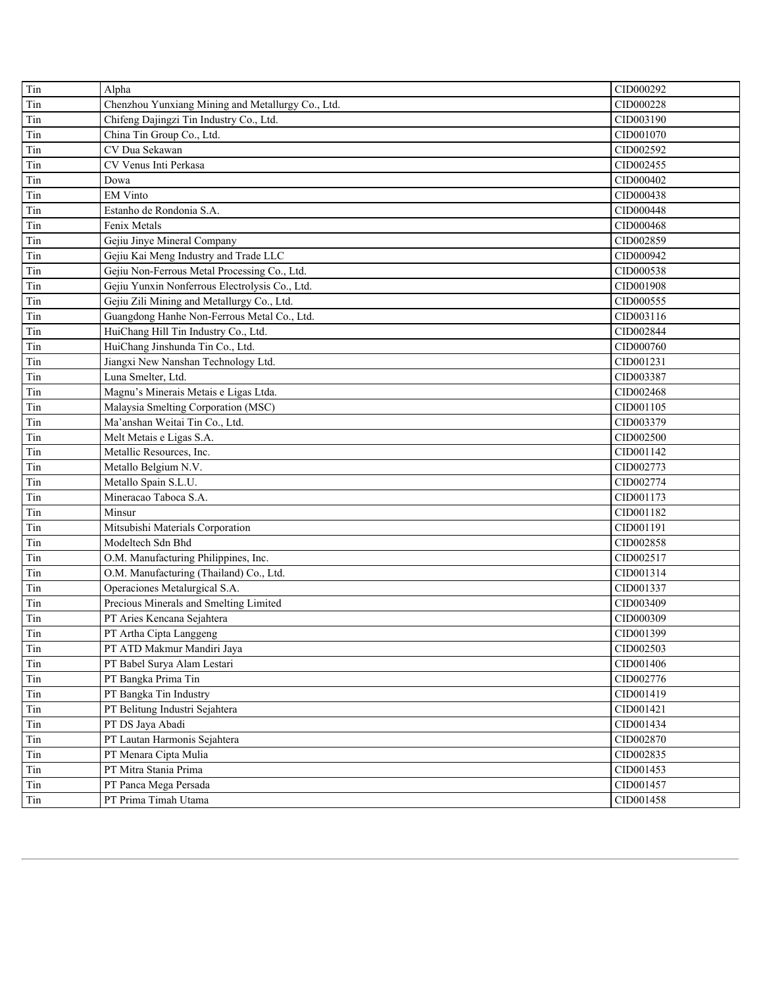| Tin | Alpha                                             | CID000292 |
|-----|---------------------------------------------------|-----------|
| Tin | Chenzhou Yunxiang Mining and Metallurgy Co., Ltd. | CID000228 |
| Tin | Chifeng Dajingzi Tin Industry Co., Ltd.           | CID003190 |
| Tin | China Tin Group Co., Ltd.                         | CID001070 |
| Tin | CV Dua Sekawan                                    | CID002592 |
| Tin | CV Venus Inti Perkasa                             | CID002455 |
| Tin | Dowa                                              | CID000402 |
| Tin | <b>EM Vinto</b>                                   | CID000438 |
| Tin | Estanho de Rondonia S.A.                          | CID000448 |
| Tin | Fenix Metals                                      | CID000468 |
| Tin | Gejiu Jinye Mineral Company                       | CID002859 |
| Tin | Gejiu Kai Meng Industry and Trade LLC             | CID000942 |
| Tin | Gejiu Non-Ferrous Metal Processing Co., Ltd.      | CID000538 |
| Tin | Gejiu Yunxin Nonferrous Electrolysis Co., Ltd.    | CID001908 |
| Tin | Gejiu Zili Mining and Metallurgy Co., Ltd.        | CID000555 |
| Tin | Guangdong Hanhe Non-Ferrous Metal Co., Ltd.       | CID003116 |
| Tin | HuiChang Hill Tin Industry Co., Ltd.              | CID002844 |
| Tin | HuiChang Jinshunda Tin Co., Ltd.                  | CID000760 |
| Tin | Jiangxi New Nanshan Technology Ltd.               | CID001231 |
| Tin | Luna Smelter, Ltd.                                | CID003387 |
| Tin | Magnu's Minerais Metais e Ligas Ltda.             | CID002468 |
| Tin | Malaysia Smelting Corporation (MSC)               | CID001105 |
| Tin | Ma'anshan Weitai Tin Co., Ltd.                    | CID003379 |
| Tin | Melt Metais e Ligas S.A.                          | CID002500 |
| Tin | Metallic Resources, Inc.                          | CID001142 |
| Tin | Metallo Belgium N.V.                              | CID002773 |
| Tin | Metallo Spain S.L.U.                              | CID002774 |
| Tin | Mineracao Taboca S.A.                             | CID001173 |
| Tin | Minsur                                            | CID001182 |
| Tin | Mitsubishi Materials Corporation                  | CID001191 |
| Tin | Modeltech Sdn Bhd                                 | CID002858 |
| Tin | O.M. Manufacturing Philippines, Inc.              | CID002517 |
| Tin | O.M. Manufacturing (Thailand) Co., Ltd.           | CID001314 |
| Tin | Operaciones Metalurgical S.A.                     | CID001337 |
| Tin | Precious Minerals and Smelting Limited            | CID003409 |
| Tin | PT Aries Kencana Sejahtera                        | CID000309 |
| Tin | PT Artha Cipta Langgeng                           | CID001399 |
| Tin | PT ATD Makmur Mandiri Jaya                        | CID002503 |
| Tin | PT Babel Surya Alam Lestari                       | CID001406 |
| Tin | PT Bangka Prima Tin                               | CID002776 |
| Tin | PT Bangka Tin Industry                            | CID001419 |
| Tin | PT Belitung Industri Sejahtera                    | CID001421 |
| Tin | PT DS Jaya Abadi                                  | CID001434 |
| Tin | PT Lautan Harmonis Sejahtera                      | CID002870 |
| Tin | PT Menara Cipta Mulia                             | CID002835 |
| Tin | PT Mitra Stania Prima                             | CID001453 |
| Tin | PT Panca Mega Persada                             | CID001457 |
| Tin | PT Prima Timah Utama                              | CID001458 |
|     |                                                   |           |